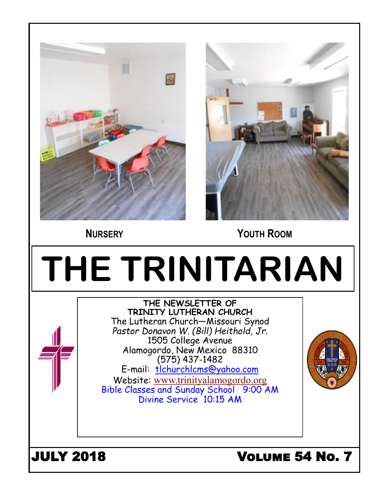



 **NURSERY YOUTH ROOM**

# **THE TRINITARIAN THE NEWSLETTER OF TRINITY LUTHERAN CHURCH** The Lutheran Church—Missouri Synod *Pastor Donavon W. (Bill) Heithold, Jr.* 1505 College Avenue Alamogordo, New Mexico 88310 (575) 437-1482 E-mail: tlchurchlcms@yahoo.com Website: [www.trinityalamogordo.org](http://www.tlcalamogordo/) Bible Classes and Sunday School 9:00 AM Divine Service 10:15 AM JULY 2018 Volume 54 No. 7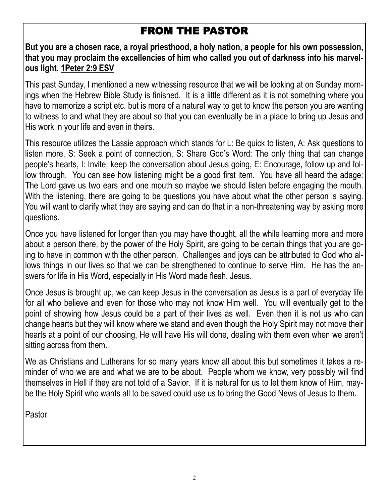# FROM THE PASTOR

**But you are a chosen race, a royal priesthood, a holy nation, a people for his own possession, that you may proclaim the excellencies of him who called you out of darkness into his marvelous light. 1Peter 2:9 ESV** 

This past Sunday, I mentioned a new witnessing resource that we will be looking at on Sunday mornings when the Hebrew Bible Study is finished. It is a little different as it is not something where you have to memorize a script etc. but is more of a natural way to get to know the person you are wanting to witness to and what they are about so that you can eventually be in a place to bring up Jesus and His work in your life and even in theirs.

This resource utilizes the Lassie approach which stands for L: Be quick to listen, A: Ask questions to listen more, S: Seek a point of connection, S: Share God's Word: The only thing that can change people's hearts, I: Invite, keep the conversation about Jesus going, E: Encourage, follow up and follow through. You can see how listening might be a good first item. You have all heard the adage: The Lord gave us two ears and one mouth so maybe we should listen before engaging the mouth. With the listening, there are going to be questions you have about what the other person is saying. You will want to clarify what they are saying and can do that in a non-threatening way by asking more questions.

Once you have listened for longer than you may have thought, all the while learning more and more about a person there, by the power of the Holy Spirit, are going to be certain things that you are going to have in common with the other person. Challenges and joys can be attributed to God who allows things in our lives so that we can be strengthened to continue to serve Him. He has the answers for life in His Word, especially in His Word made flesh, Jesus.

Once Jesus is brought up, we can keep Jesus in the conversation as Jesus is a part of everyday life for all who believe and even for those who may not know Him well. You will eventually get to the point of showing how Jesus could be a part of their lives as well. Even then it is not us who can change hearts but they will know where we stand and even though the Holy Spirit may not move their hearts at a point of our choosing, He will have His will done, dealing with them even when we aren't sitting across from them.

We as Christians and Lutherans for so many years know all about this but sometimes it takes a reminder of who we are and what we are to be about. People whom we know, very possibly will find themselves in Hell if they are not told of a Savior. If it is natural for us to let them know of Him, maybe the Holy Spirit who wants all to be saved could use us to bring the Good News of Jesus to them.

Pastor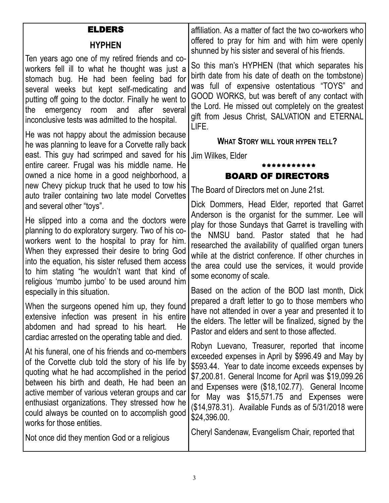#### ELDERS

#### **HYPHEN**

Ten years ago one of my retired friends and coworkers fell ill to what he thought was just a stomach bug. He had been feeling bad for several weeks but kept self-medicating and putting off going to the doctor. Finally he went to the emergency room and after several inconclusive tests was admitted to the hospital.

He was not happy about the admission because he was planning to leave for a Corvette rally back east. This guy had scrimped and saved for his Jim Wilkes, Elder entire career. Frugal was his middle name. He owned a nice home in a good neighborhood, a new Chevy pickup truck that he used to tow his auto trailer containing two late model Corvettes and several other "toys".

He slipped into a coma and the doctors were planning to do exploratory surgery. Two of his coworkers went to the hospital to pray for him. When they expressed their desire to bring God into the equation, his sister refused them access to him stating "he wouldn't want that kind of religious 'mumbo jumbo' to be used around him especially in this situation.

When the surgeons opened him up, they found extensive infection was present in his entire abdomen and had spread to his heart. He cardiac arrested on the operating table and died.

At his funeral, one of his friends and co-members of the Corvette club told the story of his life by quoting what he had accomplished in the period between his birth and death, He had been an active member of various veteran groups and car enthusiast organizations. They stressed how he could always be counted on to accomplish good works for those entities.

Not once did they mention God or a religious

affiliation. As a matter of fact the two co-workers who offered to pray for him and with him were openly shunned by his sister and several of his friends.

So this man's HYPHEN (that which separates his birth date from his date of death on the tombstone) was full of expensive ostentatious "TOYS" and GOOD WORKS, but was bereft of any contact with the Lord. He missed out completely on the greatest gift from Jesus Christ, SALVATION and ETERNAL LIFE.

**WHAT STORY WILL YOUR HYPEN TELL?**

#### \*\*\*\*\*\*\*\*\*\*\* BOARD OF DIRECTORS

The Board of Directors met on June 21st.

Dick Dommers, Head Elder, reported that Garret Anderson is the organist for the summer. Lee will play for those Sundays that Garret is travelling with the NMSU band. Pastor stated that he had researched the availability of qualified organ tuners while at the district conference. If other churches in the area could use the services, it would provide some economy of scale.

Based on the action of the BOD last month, Dick prepared a draft letter to go to those members who have not attended in over a year and presented it to the elders. The letter will be finalized, signed by the Pastor and elders and sent to those affected.

Robyn Luevano, Treasurer, reported that income exceeded expenses in April by \$996.49 and May by \$593.44. Year to date income exceeds expenses by \$7,200.81. General Income for April was \$19,099.26 and Expenses were (\$18,102.77). General Income for May was \$15,571.75 and Expenses were (\$14,978.31). Available Funds as of 5/31/2018 were \$24,396.00.

Cheryl Sandenaw, Evangelism Chair, reported that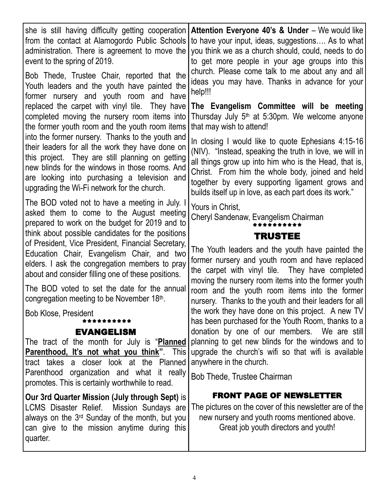| she is still having difficulty getting cooperation                                                                                                                                                                   | Attention Everyone 40's & Under - We would like                                                                                                                                                               |
|----------------------------------------------------------------------------------------------------------------------------------------------------------------------------------------------------------------------|---------------------------------------------------------------------------------------------------------------------------------------------------------------------------------------------------------------|
| from the contact at Alamogordo Public Schools                                                                                                                                                                        | to have your input, ideas, suggestions As to what                                                                                                                                                             |
| administration. There is agreement to move the                                                                                                                                                                       | you think we as a church should, could, needs to do                                                                                                                                                           |
| event to the spring of 2019.                                                                                                                                                                                         | to get more people in your age groups into this                                                                                                                                                               |
| Bob Thede, Trustee Chair, reported that the                                                                                                                                                                          | church. Please come talk to me about any and all                                                                                                                                                              |
| Youth leaders and the youth have painted the                                                                                                                                                                         | ideas you may have. Thanks in advance for your                                                                                                                                                                |
| former nursery and youth room and have                                                                                                                                                                               | help!!!                                                                                                                                                                                                       |
| replaced the carpet with vinyl tile. They have                                                                                                                                                                       | The Evangelism Committee will be meeting                                                                                                                                                                      |
| completed moving the nursery room items into                                                                                                                                                                         | Thursday July 5 <sup>th</sup> at 5:30pm. We welcome anyone                                                                                                                                                    |
| the former youth room and the youth room items                                                                                                                                                                       | that may wish to attend!                                                                                                                                                                                      |
| into the former nursery. Thanks to the youth and                                                                                                                                                                     | In closing I would like to quote Ephesians 4:15-16                                                                                                                                                            |
| their leaders for all the work they have done on                                                                                                                                                                     | (NIV). "Instead, speaking the truth in love, we will in                                                                                                                                                       |
| this project. They are still planning on getting                                                                                                                                                                     | all things grow up into him who is the Head, that is,                                                                                                                                                         |
| new blinds for the windows in those rooms. And                                                                                                                                                                       | Christ. From him the whole body, joined and held                                                                                                                                                              |
| are looking into purchasing a television and                                                                                                                                                                         | together by every supporting ligament grows and                                                                                                                                                               |
| upgrading the Wi-Fi network for the church.                                                                                                                                                                          | builds itself up in love, as each part does its work."                                                                                                                                                        |
| The BOD voted not to have a meeting in July. I<br>asked them to come to the August meeting<br>prepared to work on the budget for 2019 and to                                                                         | Yours in Christ,<br>Cheryl Sandenaw, Evangelism Chairman                                                                                                                                                      |
| think about possible candidates for the positions<br>of President, Vice President, Financial Secretary,                                                                                                              | <b>TRUSTEE</b>                                                                                                                                                                                                |
| Education Chair, Evangelism Chair, and two<br>elders. I ask the congregation members to pray<br>about and consider filling one of these positions.                                                                   | The Youth leaders and the youth have painted the<br>former nursery and youth room and have replaced<br>the carpet with vinyl tile. They have completed<br>moving the nursery room items into the former youth |
| The BOD voted to set the date for the annual                                                                                                                                                                         | room and the youth room items into the former                                                                                                                                                                 |
| congregation meeting to be November 18th.                                                                                                                                                                            | nursery. Thanks to the youth and their leaders for all                                                                                                                                                        |
| <b>Bob Klose, President</b>                                                                                                                                                                                          | the work they have done on this project. A new TV                                                                                                                                                             |
| ********                                                                                                                                                                                                             | has been purchased for the Youth Room, thanks to a                                                                                                                                                            |
| <b>EVANGELISM</b>                                                                                                                                                                                                    | donation by one of our members. We are still                                                                                                                                                                  |
| The tract of the month for July is "Planned                                                                                                                                                                          | planning to get new blinds for the windows and to                                                                                                                                                             |
| <b>Parenthood, It's not what you think"</b> . This                                                                                                                                                                   | upgrade the church's wifi so that wifi is available                                                                                                                                                           |
| tract takes a closer look at the Planned                                                                                                                                                                             | anywhere in the church.                                                                                                                                                                                       |
| Parenthood organization and what it really<br>promotes. This is certainly worthwhile to read.                                                                                                                        | Bob Thede, Trustee Chairman                                                                                                                                                                                   |
| Our 3rd Quarter Mission (July through Sept) is<br>LCMS Disaster Relief. Mission Sundays are<br>always on the 3 <sup>rd</sup> Sunday of the month, but you<br>can give to the mission anytime during this<br>quarter. | <b>FRONT PAGE OF NEWSLETTER</b><br>The pictures on the cover of this newsletter are of the<br>new nursery and youth rooms mentioned above.<br>Great job youth directors and youth!                            |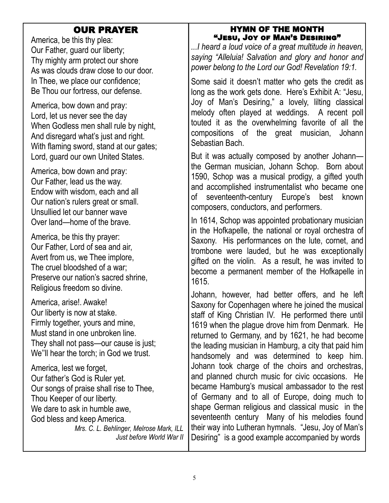### OUR PRAYER

America, be this thy plea: Our Father, guard our liberty; Thy mighty arm protect our shore As was clouds draw close to our door. In Thee, we place our confidence; Be Thou our fortress, our defense.

America, bow down and pray: Lord, let us never see the day When Godless men shall rule by night. And disregard what's just and right. With flaming sword, stand at our gates; Lord, guard our own United States.

America, bow down and pray: Our Father, lead us the way. Endow with wisdom, each and all Our nation's rulers great or small. Unsullied let our banner wave Over land—home of the brave.

America, be this thy prayer: Our Father, Lord of sea and air, Avert from us, we Thee implore, The cruel bloodshed of a war; Preserve our nation's sacred shrine, Religious freedom so divine.

America, arise!. Awake! Our liberty is now at stake. Firmly together, yours and mine, Must stand in one unbroken line. They shall not pass—our cause is just; We''ll hear the torch; in God we trust.

America, lest we forget, Our father's God is Ruler yet. Our songs of praise shall rise to Thee, Thou Keeper of our liberty. We dare to ask in humble awe, God bless and keep America. *Mrs. C. L. Behlinger, Melrose Mark, ILL Just before World War II*

#### HYMN OF THE MONTH "Jesu, Joy of Man's Desiring"

*...I heard a loud voice of a great multitude in heaven, saying "Alleluia! Salvation and glory and honor and power belong to the Lord our God! Revelation 19:1.*

Some said it doesn't matter who gets the credit as long as the work gets done. Here's Exhibit A: "Jesu, Joy of Man's Desiring," a lovely, lilting classical melody often played at weddings. A recent poll touted it as the overwhelming favorite of all the compositions of the great musician, Johann Sebastian Bach.

But it was actually composed by another Johann the German musician, Johann Schop. Born about 1590, Schop was a musical prodigy, a gifted youth and accomplished instrumentalist who became one of seventeenth-century Europe's best known composers, conductors, and performers.

In 1614, Schop was appointed probationary musician in the Hofkapelle, the national or royal orchestra of Saxony. His performances on the lute, cornet, and trombone were lauded, but he was exceptionally gifted on the violin. As a result, he was invited to become a permanent member of the Hofkapelle in 1615.

Johann, however, had better offers, and he left Saxony for Copenhagen where he joined the musical staff of King Christian IV. He performed there until 1619 when the plague drove him from Denmark. He returned to Germany, and by 1621, he had become the leading musician in Hamburg, a city that paid him handsomely and was determined to keep him. Johann took charge of the choirs and orchestras, and planned church music for civic occasions. He became Hamburg's musical ambassador to the rest of Germany and to all of Europe, doing much to shape German religious and classical music in the seventeenth century Many of his melodies found their way into Lutheran hymnals. "Jesu, Joy of Man's Desiring" is a good example accompanied by words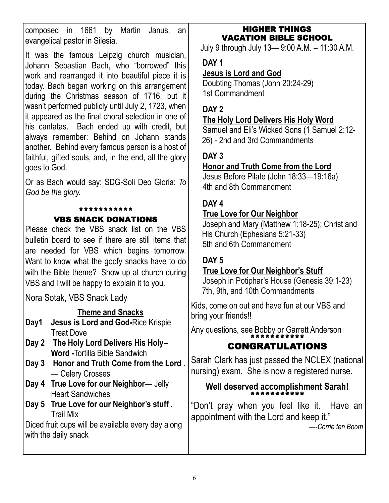composed in 1661 by Martin Janus, an evangelical pastor in Silesia.

It was the famous Leipzig church musician, Johann Sebastian Bach, who "borrowed" this work and rearranged it into beautiful piece it is today. Bach began working on this arrangement during the Christmas season of 1716, but it wasn't performed publicly until July 2, 1723, when it appeared as the final choral selection in one of his cantatas. Bach ended up with credit, but always remember: Behind on Johann stands another. Behind every famous person is a host of faithful, gifted souls, and, in the end, all the glory goes to God.

Or as Bach would say: SDG-Soli Deo Gloria: *To God be the glory.*

#### \*\*\*\*\*\*\*\*\*\*\*

#### VBS SNACK DONATIONS

Please check the VBS snack list on the VBS bulletin board to see if there are still items that are needed for VBS which begins tomorrow. Want to know what the goofy snacks have to do with the Bible theme? Show up at church during VBS and I will be happy to explain it to you.

Nora Sotak, VBS Snack Lady

#### **Theme and Snacks**

- **Day1 Jesus is Lord and God-**Rice Krispie Treat Dove
- **Day 2 The Holy Lord Delivers His Holy-- Word -**Tortilla Bible Sandwich
- **Day 3 Honor and Truth Come from the Lord** . — Celery Crosses
- **Day 4 True Love for our Neighbor** Jelly Heart Sandwiches
- **Day 5 True Love for our Neighbor's stuff .**  Trail Mix

Diced fruit cups will be available every day along with the daily snack

#### HIGHER THINGS VACATION BIBLE SCHOOL

July 9 through July 13— 9:00 A.M. – 11:30 A.M.

#### **DAY 1**

#### **Jesus is Lord and God**

Doubting Thomas (John 20:24-29) 1st Commandment

#### **DAY 2**

#### **The Holy Lord Delivers His Holy Word**

Samuel and Eli's Wicked Sons (1 Samuel 2:12- 26) - 2nd and 3rd Commandments

#### **DAY 3**

#### **Honor and Truth Come from the Lord**

Jesus Before Pilate (John 18:33—19:16a) 4th and 8th Commandment

#### **DAY 4**

#### **True Love for Our Neighbor**

Joseph and Mary (Matthew 1:18-25); Christ and His Church (Ephesians 5:21-33) 5th and 6th Commandment

### **DAY 5**

#### **True Love for Our Neighbor's Stuff**

Joseph in Potiphar's House (Genesis 39:1-23) 7th, 9th, and 10th Commandments

Kids, come on out and have fun at our VBS and bring your friends!!

Any questions, see Bobby or Garrett Anderson \*\*\*\*\*\*\*\*\*

# CONGRATULATIONS

Sarah Clark has just passed the NCLEX (national nursing) exam. She is now a registered nurse.

#### **Well deserved accomplishment Sarah!** \*\*\*\*\*\*\*\*\*\*

"Don't pray when you feel like it. Have an appointment with the Lord and keep it."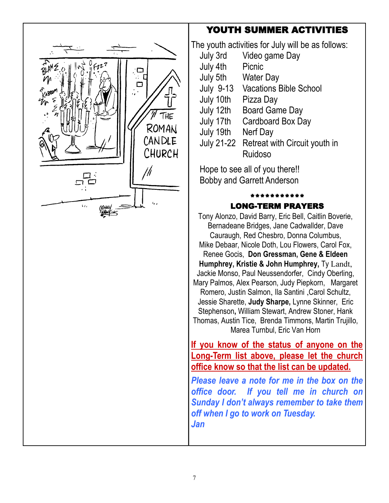# YOUTH SUMMER ACTIVITIES



| July 3rd         | Video game Day                           |
|------------------|------------------------------------------|
| July 4th         | Picnic                                   |
| July 5th         | <b>Water Day</b>                         |
| <b>July 9-13</b> | <b>Vacations Bible School</b>            |
| July 10th        | Pizza Day                                |
| July 12th        | <b>Board Game Day</b>                    |
| July 17th        | Cardboard Box Day                        |
| July 19th        | Nerf Day                                 |
|                  | July 21-22 Retreat with Circuit youth in |
|                  | Ruidoso                                  |

Hope to see all of you there!!

Bobby and Garrett Anderson

#### \*\*\*\*\*\*\*\*\*\* LONG-TERM PRAYERS

Tony Alonzo, David Barry, Eric Bell, Caitlin Boverie, Bernadeane Bridges, Jane Cadwallder, Dave Cauraugh, Red Chesbro, Donna Columbus, Mike Debaar, Nicole Doth, Lou Flowers, Carol Fox, Renee Gocis, **Don Gressman, Gene & Eldeen Humphrey, Kristie & John Humphrey,** Ty Landt, Jackie Monso, Paul Neussendorfer, Cindy Oberling, Mary Palmos, Alex Pearson, Judy Piepkorn, Margaret Romero, Justin Salmon, Ila Santini ,Carol Schultz, Jessie Sharette, **Judy Sharpe,** Lynne Skinner, Eric Stephenson**,** William Stewart, Andrew Stoner, Hank Thomas, Austin Tice, Brenda Timmons, Martin Trujillo, Marea Turnbul, Eric Van Horn

**If you know of the status of anyone on the Long-Term list above, please let the church office know so that the list can be updated.**

*Please leave a note for me in the box on the office door. If you tell me in church on Sunday I don't always remember to take them off when I go to work on Tuesday.*

*Jan*

 $\Box$ ┌ ROMAN CANDLE CHURCH ///  $\mathbf{r}$